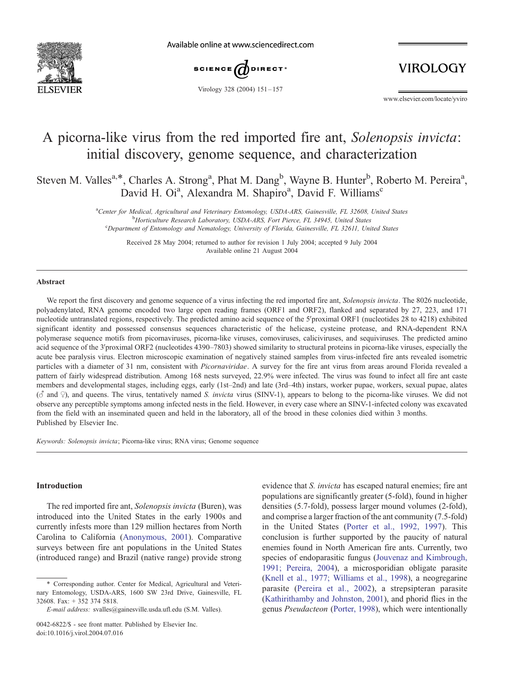

Available online at www.sciencedirect.com



VIROLOGY

Virology 328 (2004) 151 – 157

www.elsevier.com/locate/yviro

# A picorna-like virus from the red imported fire ant, Solenopsis invicta: initial discovery, genome sequence, and characterization

Steven M. Valles<sup>a,\*</sup>, Charles A. Strong<sup>a</sup>, Phat M. Dang<sup>b</sup>, Wayne B. Hunter<sup>b</sup>, Roberto M. Pereira<sup>a</sup>, David H. Oi<sup>a</sup>, Alexandra M. Shapiro<sup>a</sup>, David F. Williams<sup>c</sup>

> a Center for Medical, Agricultural and Veterinary Entomology, USDA-ARS, Gainesville, FL 32608, United States <sup>b</sup> Horticulture Research Laboratory, USDA-ARS, Fort Pierce, FL 34945, United States<br>Congriment of Entemplorar and Nematology University of Florida, Gainesville, FL 32611, United

<sup>c</sup>Department of Entomology and Nematology, University of Florida, Gainesville, FL 32611, United States

Received 28 May 2004; returned to author for revision 1 July 2004; accepted 9 July 2004 Available online 21 August 2004

#### Abstract

We report the first discovery and genome sequence of a virus infecting the red imported fire ant, Solenopsis invicta. The 8026 nucleotide, polyadenylated, RNA genome encoded two large open reading frames (ORF1 and ORF2), flanked and separated by 27, 223, and 171 nucleotide untranslated regions, respectively. The predicted amino acid sequence of the 5'proximal ORF1 (nucleotides 28 to 4218) exhibited significant identity and possessed consensus sequences characteristic of the helicase, cysteine protease, and RNA-dependent RNA polymerase sequence motifs from picornaviruses, picorna-like viruses, comoviruses, caliciviruses, and sequiviruses. The predicted amino acid sequence of the 3Vproximal ORF2 (nucleotides 4390–7803) showed similarity to structural proteins in picorna-like viruses, especially the acute bee paralysis virus. Electron microscopic examination of negatively stained samples from virus-infected fire ants revealed isometric particles with a diameter of 31 nm, consistent with *Picornaviridae*. A survey for the fire ant virus from areas around Florida revealed a pattern of fairly widespread distribution. Among 168 nests surveyed, 22.9% were infected. The virus was found to infect all fire ant caste members and developmental stages, including eggs, early (1st–2nd) and late (3rd–4th) instars, worker pupae, workers, sexual pupae, alates  $(\vec{c})$  and  $(\vec{c})$ , and queens. The virus, tentatively named S. *invicta* virus (SINV-1), appears to belong to the picorna-like viruses. We did not observe any perceptible symptoms among infected nests in the field. However, in every case where an SINV-1-infected colony was excavated from the field with an inseminated queen and held in the laboratory, all of the brood in these colonies died within 3 months. Published by Elsevier Inc.

Keywords: Solenopsis invicta; Picorna-like virus; RNA virus; Genome sequence

### Introduction

The red imported fire ant, Solenopsis invicta (Buren), was introduced into the United States in the early 1900s and currently infests more than 129 million hectares from North Carolina to California ([Anonymous, 2001\)](#page-6-0). Comparative surveys between fire ant populations in the United States (introduced range) and Brazil (native range) provide strong evidence that *S. invicta* has escaped natural enemies; fire ant populations are significantly greater (5-fold), found in higher densities (5.7-fold), possess larger mound volumes (2-fold), and comprise a larger fraction of the ant community (7.5-fold) in the United States ([Porter et al., 1992, 1997\)](#page-6-0). This conclusion is further supported by the paucity of natural enemies found in North American fire ants. Currently, two species of endoparasitic fungus ([Jouvenaz and Kimbrough,](#page-6-0) 1991; Pereira, 2004), a microsporidian obligate parasite ([Knell et al., 1977; Williams et al., 1998\)](#page-6-0), a neogregarine parasite ([Pereira et al., 2002\)](#page-6-0), a strepsipteran parasite ([Kathirithamby and Johnston, 2001\)](#page-6-0), and phorid flies in the genus Pseudacteon ([Porter, 1998\)](#page-6-0), which were intentionally

<sup>\*</sup> Corresponding author. Center for Medical, Agricultural and Veterinary Entomology, USDA-ARS, 1600 SW 23rd Drive, Gainesville, FL 32608. Fax: + 352 374 5818.

E-mail address: svalles@gainesville.usda.ufl.edu (S.M. Valles).

<sup>0042-6822/\$ -</sup> see front matter. Published by Elsevier Inc. doi:10.1016/j.virol.2004.07.016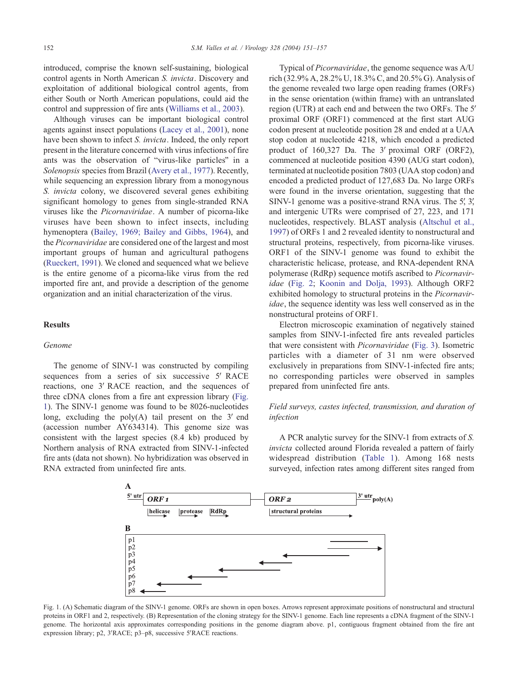<span id="page-1-0"></span>introduced, comprise the known self-sustaining, biological control agents in North American S. invicta. Discovery and exploitation of additional biological control agents, from either South or North American populations, could aid the control and suppression of fire ants ([Williams et al., 2003\)](#page-6-0).

Although viruses can be important biological control agents against insect populations ([Lacey et al., 2001\)](#page-6-0), none have been shown to infect S. invicta. Indeed, the only report present in the literature concerned with virus infections of fire ants was the observation of "virus-like particles" in a Solenopsis species from Brazil ([Avery et al., 1977\)](#page-6-0). Recently, while sequencing an expression library from a monogynous S. *invicta* colony, we discovered several genes exhibiting significant homology to genes from single-stranded RNA viruses like the Picornaviridae. A number of picorna-like viruses have been shown to infect insects, including hymenoptera ([Bailey, 1969; Bailey and Gibbs, 1964\)](#page-6-0), and the Picornaviridae are considered one of the largest and most important groups of human and agricultural pathogens ([Rueckert, 1991\)](#page-6-0). We cloned and sequenced what we believe is the entire genome of a picorna-like virus from the red imported fire ant, and provide a description of the genome organization and an initial characterization of the virus.

## Results

#### Genome

The genome of SINV-1 was constructed by compiling sequences from a series of six successive 5' RACE reactions, one 3' RACE reaction, and the sequences of three cDNA clones from a fire ant expression library (Fig. 1). The SINV-1 genome was found to be 8026-nucleotides long, excluding the poly $(A)$  tail present on the 3' end (accession number AY634314). This genome size was consistent with the largest species (8.4 kb) produced by Northern analysis of RNA extracted from SINV-1-infected fire ants (data not shown). No hybridization was observed in RNA extracted from uninfected fire ants.

Typical of Picornaviridae, the genome sequence was A/U rich (32.9% A, 28.2% U, 18.3% C, and 20.5% G). Analysis of the genome revealed two large open reading frames (ORFs) in the sense orientation (within frame) with an untranslated region (UTR) at each end and between the two ORFs. The 5' proximal ORF (ORF1) commenced at the first start AUG codon present at nucleotide position 28 and ended at a UAA stop codon at nucleotide 4218, which encoded a predicted product of 160,327 Da. The 3' proximal ORF (ORF2), commenced at nucleotide position 4390 (AUG start codon), terminated at nucleotide position 7803 (UAA stop codon) and encoded a predicted product of 127,683 Da. No large ORFs were found in the inverse orientation, suggesting that the SINV-1 genome was a positive-strand RNA virus. The  $5\frac{7}{3}$ , and intergenic UTRs were comprised of 27, 223, and 171 nucleotides, respectively. BLAST analysis ([Altschul et al.,](#page-6-0) 1997) of ORFs 1 and 2 revealed identity to nonstructural and structural proteins, respectively, from picorna-like viruses. ORF1 of the SINV-1 genome was found to exhibit the characteristic helicase, protease, and RNA-dependent RNA polymerase (RdRp) sequence motifs ascribed to Picornaviridae ([Fig. 2;](#page-2-0) [Koonin and Dolja, 1993\)](#page-6-0). Although ORF2 exhibited homology to structural proteins in the Picornaviridae, the sequence identity was less well conserved as in the nonstructural proteins of ORF1.

Electron microscopic examination of negatively stained samples from SINV-1-infected fire ants revealed particles that were consistent with Picornaviridae ([Fig. 3\)](#page-2-0). Isometric particles with a diameter of 31 nm were observed exclusively in preparations from SINV-1-infected fire ants; no corresponding particles were observed in samples prepared from uninfected fire ants.

# Field surveys, castes infected, transmission, and duration of infection

A PCR analytic survey for the SINV-1 from extracts of S. invicta collected around Florida revealed a pattern of fairly widespread distribution ([Table 1\)](#page-3-0). Among 168 nests surveyed, infection rates among different sites ranged from



Fig. 1. (A) Schematic diagram of the SINV-1 genome. ORFs are shown in open boxes. Arrows represent approximate positions of nonstructural and structural proteins in ORF1 and 2, respectively. (B) Representation of the cloning strategy for the SINV-1 genome. Each line represents a cDNA fragment of the SINV-1 genome. The horizontal axis approximates corresponding positions in the genome diagram above. p1, contiguous fragment obtained from the fire ant expression library; p2, 3'RACE; p3-p8, successive 5'RACE reactions.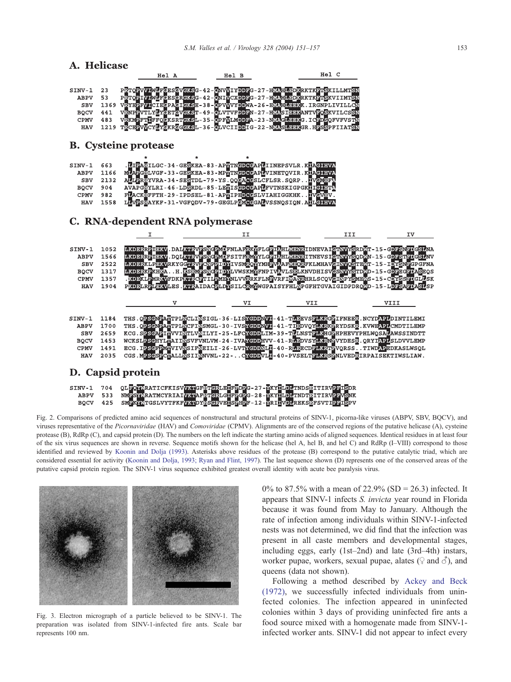#### <span id="page-2-0"></span>A. Helicase Hel C  $He1A$ Hel B QNVVIYDDFG-27-H<u>WAHLBDK</u>RKTKETSKILLMTSN  $STMY-1$  $23$  $-42$ VICIEGESGREKSG-42-ONIVCXDDFG-27-HMAHLEDKRKTKFTSKVIIMTSN<br>VICIEGPAGIGKSE-38-OPVVVYDDWA-26-EMAHLEDKRKTKFTSKVIIMTSN<br>VICIEGPAGIGKSE-38-OPVVVYDDWA-26-EMAHLEEKK,IRGNPLIVIILCN<br>VILYLYGETGVGKST-35-OPFVLMDDFA-23-NMAGLEEKANTVFOSKVIICS **ABPV** 53  $STV$ 1369 **BOCV** 441 CPMV 483 GKS<mark>L-36-QLVCIIDDIG-22-NMASLEEK</mark>GR.HFSSI **HAV** 1219  $\mathbb{R}$ PFIIA **B.** Cysteine protease AHILGC-34-GESKEA-83-APTTNGDCGAP<mark>L</mark>IINEPSVLR.KIAGIHVA<br>GHLVGF-33-GESKEA-83-MPTTNGDCGAPLVINETQVIR.KIAGIHVA<br>RHYVRA-34-SESTDL-79-YS.QQG<mark>A</mark>CGSLCFLSR.SQRP..IV<mark>GMH</mark>EA SINV-1 663 ABPV 1166 **SBV** 2132 **ALLEI** 3<mark>H</mark>YLRI-46-LDSRDL-85-LETISGDCGAPLFVTNSKIGPGK<mark>IICIH</mark> **BOCV**  $904$  $\overline{AYAP}$ CPMV 982 FLACKHFFTH-29-IPDSEL-81-APTIPEDCG<mark>SLV</mark>IAHIGGKHK. **HAV** 1558 S<mark>H</mark>AYKF-31-VGFQDV-79-GEGLP**GMCG**GALVSSNQSIQN.A<mark>I</mark> C. RNA-dependent RNA polymerase  $\mathbf{I}$ II III IV VESNGPMDFNLAFRKVFLGFIAHLMENRIDNEVAIGTNVYSRDMT-15-GDFSL<br>VFSNGPMDFSITFRMYYLGFIAHLMENRITNEVSIGTNVYSQDMN-15-GDFS<br>VFCNPPIDYIVSMROYYMHFVAAFMEORFKLMHAVGINVQSTEMT-15-IDYSL<br>MFSNGPIDYLVWSKMYFNPIVAVLSELKNVDHISVGSNVYSTDMD-15-GDFSC<br>CET . DALKTR  $SINV-1$ 1052 LKDER TEKV **FDGSLNA ABPV** 1566 LKDER<mark>RPIEKV.DQL</mark>KTR **TFDGSLNV SBV** 2522 LKDER<mark>KLP</mark>EKVRKYGGTR **NEGPGFNA** YSTDWD-15-GDFEGEDASEOS LKDER<mark>KPKHKA..H.K</mark>SR 1317 **BOCV** CPMV 1357 KDEKLP **MRKVFDKPKTR** EDGLLSK ATDACPLDYSILCRMYWGPAISYFHLNPGFHTGVAIGTDPDRQWD-15 **ASTI**SP HAV 1904 RPLEKVLES.KTR J פ  $\overline{\mathbf{v}}$ VI VII VIII ATTPL<mark>NCLIN</mark>SIGL-36-LIS<mark>YGDDNVI</mark>-41-T<mark>DB</mark>EVSFLKRGBIFNEER.NCYDAPLDINTILEMI<br>ATTPLNCFINSMGL-30-IVSYGDDNVI-41-T<u>IB</u>DVQYLKRKBRYDSKR.KVWEAPLCMDTILEMP  $STNU-1$ 1184 THS.OPSGNP THS.OPSGNP. 1700 **ABPV** HERE SONE IN THE MINITIAL SERVED IN A SPIN WAS TRINGERED BY AN ARRIVER MASS INDITT WORKS ARE CONSIDERED IN A SALE IN THE MANUSCRIPT WAS SERVED IN THE MANUSCRIPT WAS SERVED FOR THE MANUSCRIPT WAS SERVED FOR THE MANUSCRIPT W SBV 2659 **BOCV** 1453 CPMV 1491 2035 **HAV** D. Capsid protein QLEQYWRATICFKISV<mark>VKT</mark>GF<mark>HTGRLELFEDP</mark>G-27-<mark>Y</mark>KY**HLDLTNDSE**ITIRVPFISDR SINV-1 704

Fig. 2. Comparisons of predicted amino acid sequences of nonstructural and structural proteins of SINV-1, picorna-like viruses (ABPV, SBV, BQCV), and viruses representative of the Picornaviridae (HAV) and Comoviridae (CPMV). Alignments are of the conserved regions of the putative helicase (A), cysteine protease (B), RdRp (C), and capsid protein (D). The numbers on the left indicate the starting amino acids of aligned sequences. Identical residues in at least four of the six virus sequences are shown in reverse. Sequence motifs shown for the helicase (hel A, hel B, and hel C) and RdRp (I–VIII) correspond to those identified and reviewed by [Koonin and Dolja \(1993\).](#page-6-0) Asterisks above residues of the protease (B) correspond to the putative catalytic triad, which are considered essential for activity ([Koonin and Dolja, 1993; Ryan and Flint, 1997\)](#page-6-0). The last sequence shown (D) represents one of the conserved areas of the putative capsid protein region. The SINV-1 virus sequence exhibited greatest overall identity with acute bee paralysis virus.

 $-28$ 

 $-12$ 

GRVEISFHPF

DLTNDTEITIRVPF

-YRIIVDLREKSEFSVTIPF



YWRATMCYRIAIVKT<mark>AFHT</mark>GR

YWTGSLVYTFKFVKTDYHS

ABPV

**BQCV** 

533  $\overline{M}$ 

425

 $SM3$ 

Fig. 3. Electron micrograph of a particle believed to be SINV-1. The preparation was isolated from SINV-1-infected fire ants. Scale bar represents 100 nm.

0% to 87.5% with a mean of 22.9% (SD = 26.3) infected. It appears that SINV-1 infects S. invicta year round in Florida because it was found from May to January. Although the rate of infection among individuals within SINV-1-infected nests was not determined, we did find that the infection was present in all caste members and developmental stages, including eggs, early (1st–2nd) and late (3rd–4th) instars, worker pupae, workers, sexual pupae, alates ( $\varphi$  and  $\varphi$ ), and queens (data not shown).

Following a method described by [Ackey and Beck](#page-6-0) (1972), we successfully infected individuals from uninfected colonies. The infection appeared in uninfected colonies within 3 days of providing uninfected fire ants a food source mixed with a homogenate made from SINV-1 infected worker ants. SINV-1 did not appear to infect every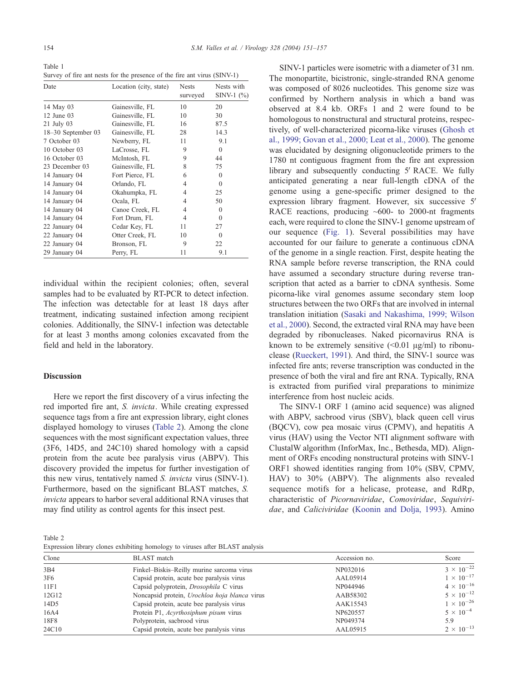<span id="page-3-0"></span>Table 1 Survey of fire ant nests for the presence of the fire ant virus (SINV-1)

| Date               | Location (city, state) | <b>Nests</b><br>surveyed | Nests with<br>SINV-1 $(\%)$ |
|--------------------|------------------------|--------------------------|-----------------------------|
| 14 May 03          | Gainesville, FL        | 10                       | 20                          |
| $12$ June $03$     | Gainesville, FL        | 10                       | 30                          |
| 21 July 03         | Gainesville, FL        | 16                       | 87.5                        |
| 18-30 September 03 | Gainesville, FL        | 28                       | 14.3                        |
| 7 October 03       | Newberry, FL           | 11                       | 9.1                         |
| 10 October 03      | LaCrosse, FL           | 9                        | $\theta$                    |
| 16 October 03      | McIntosh, FL           | 9                        | 44                          |
| 23 December 03     | Gainesville, FL        | 8                        | 75                          |
| 14 January 04      | Fort Pierce, FL        | 6                        | $\theta$                    |
| 14 January 04      | Orlando, FL            | 4                        | $\mathbf{0}$                |
| 14 January 04      | Okahumpka, FL          | 4                        | 25                          |
| 14 January 04      | Ocala, FL              | 4                        | 50                          |
| 14 January 04      | Canoe Creek, FL        | $\overline{4}$           | $\theta$                    |
| 14 January 04      | Fort Drum, FL          | $\overline{4}$           | $\theta$                    |
| 22 January 04      | Cedar Key, FL          | 11                       | 27                          |
| 22 January 04      | Otter Creek, FL        | 10                       | $\Omega$                    |
| 22 January 04      | Bronson, FL            | 9                        | 22                          |
| 29 January 04      | Perry, FL              | 11                       | 9.1                         |

individual within the recipient colonies; often, several samples had to be evaluated by RT-PCR to detect infection. The infection was detectable for at least 18 days after treatment, indicating sustained infection among recipient colonies. Additionally, the SINV-1 infection was detectable for at least 3 months among colonies excavated from the field and held in the laboratory.

# Discussion

Here we report the first discovery of a virus infecting the red imported fire ant, S. invicta. While creating expressed sequence tags from a fire ant expression library, eight clones displayed homology to viruses (Table 2). Among the clone sequences with the most significant expectation values, three (3F6, 14D5, and 24C10) shared homology with a capsid protein from the acute bee paralysis virus (ABPV). This discovery provided the impetus for further investigation of this new virus, tentatively named S. invicta virus (SINV-1). Furthermore, based on the significant BLAST matches, S. invicta appears to harbor several additional RNA viruses that may find utility as control agents for this insect pest.

SINV-1 particles were isometric with a diameter of 31 nm. The monopartite, bicistronic, single-stranded RNA genome was composed of 8026 nucleotides. This genome size was confirmed by Northern analysis in which a band was observed at 8.4 kb. ORFs 1 and 2 were found to be homologous to nonstructural and structural proteins, respectively, of well-characterized picorna-like viruses ([Ghosh et](#page-6-0) al., 1999; Govan et al., 2000; Leat et al., 2000). The genome was elucidated by designing oligonucleotide primers to the 1780 nt contiguous fragment from the fire ant expression library and subsequently conducting 5' RACE. We fully anticipated generating a near full-length cDNA of the genome using a gene-specific primer designed to the expression library fragment. However, six successive 5' RACE reactions, producing  $~600-$  to 2000-nt fragments each, were required to clone the SINV-1 genome upstream of our sequence ([Fig. 1\)](#page-1-0). Several possibilities may have accounted for our failure to generate a continuous cDNA of the genome in a single reaction. First, despite heating the RNA sample before reverse transcription, the RNA could have assumed a secondary structure during reverse transcription that acted as a barrier to cDNA synthesis. Some picorna-like viral genomes assume secondary stem loop structures between the two ORFs that are involved in internal translation initiation ([Sasaki and Nakashima, 1999; Wilson](#page-6-0) et al., 2000). Second, the extracted viral RNA may have been degraded by ribonucleases. Naked picornavirus RNA is known to be extremely sensitive  $(\leq 0.01 \text{ µg/ml})$  to ribonuclease ([Rueckert, 1991\)](#page-6-0). And third, the SINV-1 source was infected fire ants; reverse transcription was conducted in the presence of both the viral and fire ant RNA. Typically, RNA is extracted from purified viral preparations to minimize interference from host nucleic acids.

The SINV-1 ORF 1 (amino acid sequence) was aligned with ABPV, sacbrood virus (SBV), black queen cell virus (BQCV), cow pea mosaic virus (CPMV), and hepatitis A virus (HAV) using the Vector NTI alignment software with ClustalW algorithm (InforMax, Inc., Bethesda, MD). Alignment of ORFs encoding nonstructural proteins with SINV-1 ORF1 showed identities ranging from 10% (SBV, CPMV, HAV) to 30% (ABPV). The alignments also revealed sequence motifs for a helicase, protease, and RdRp, characteristic of Picornaviridae, Comoviridae, Sequiviri-dae, and Caliciviridae ([Koonin and Dolja, 1993\)](#page-6-0). Amino

Table 2

Expression library clones exhibiting homology to viruses after BLAST analysis

| Clone            | <b>BLAST</b> match                            | Accession no. | Score               |
|------------------|-----------------------------------------------|---------------|---------------------|
| 3B4              | Finkel-Biskis-Reilly murine sarcoma virus     | NP032016      | $3 \times 10^{-22}$ |
| 3F6              | Capsid protein, acute bee paralysis virus     | AAL05914      | $1 \times 10^{-17}$ |
| 11F1             | Capsid polyprotein, <i>Drosophila</i> C virus | NP044946      | $4 \times 10^{-16}$ |
| 12G12            | Noncapsid protein, Urochloa hoja blanca virus | AAB58302      | $5 \times 10^{-12}$ |
| 14D <sub>5</sub> | Capsid protein, acute bee paralysis virus     | AAK15543      | $1 \times 10^{-26}$ |
| 16A4             | Protein P1, Acyrthosiphum pisum virus         | NP620557      | $5 \times 10^{-4}$  |
| 18F8             | Polyprotein, sacbrood virus                   | NP049374      | 5.9                 |
| 24C10            | Capsid protein, acute bee paralysis virus     | AAL05915      | $2 \times 10^{-13}$ |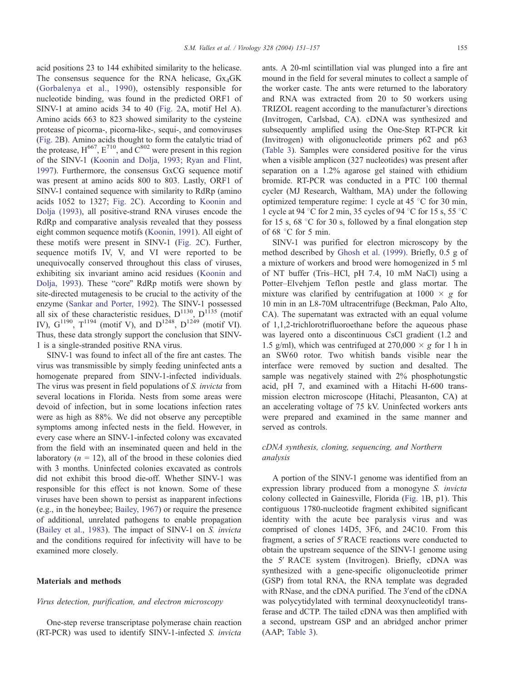acid positions 23 to 144 exhibited similarity to the helicase. The consensus sequence for the RNA helicase,  $Gx_4GK$ ([Gorbalenya et al., 1990\)](#page-6-0), ostensibly responsible for nucleotide binding, was found in the predicted ORF1 of SINV-1 at amino acids 34 to 40 ([Fig. 2A](#page-2-0), motif Hel A). Amino acids 663 to 823 showed similarity to the cysteine protease of picorna-, picorna-like-, sequi-, and comoviruses ([Fig. 2](#page-2-0)B). Amino acids thought to form the catalytic triad of the protease,  $H^{667}$ ,  $E^{710}$ , and  $C^{802}$  were present in this region of the SINV-1 [\(Koonin and Dolja, 1993; Ryan and Flint,](#page-6-0) 1997). Furthermore, the consensus GxCG sequence motif was present at amino acids 800 to 803. Lastly, ORF1 of SINV-1 contained sequence with similarity to RdRp (amino acids 1052 to 1327; [Fig. 2C](#page-2-0)). According to [Koonin and](#page-6-0) Dolja (1993), all positive-strand RNA viruses encode the RdRp and comparative analysis revealed that they possess eight common sequence motifs ([Koonin, 1991\)](#page-6-0). All eight of these motifs were present in SINV-1 ([Fig. 2C](#page-2-0)). Further, sequence motifs IV, V, and VI were reported to be unequivocally conserved throughout this class of viruses, exhibiting six invariant amino acid residues ([Koonin and](#page-6-0) Dolja, 1993). These "core" RdRp motifs were shown by site-directed mutagenesis to be crucial to the activity of the enzyme ([Sankar and Porter, 1992\)](#page-6-0). The SINV-1 possessed all six of these characteristic residues,  $D^{1130}$ ,  $D^{1135}$  (motif IV),  $G^{1190}$ ,  $T^{1194}$  (motif V), and  $D^{1248}$ ,  $D^{1249}$  (motif VI). Thus, these data strongly support the conclusion that SINV-1 is a single-stranded positive RNA virus.

SINV-1 was found to infect all of the fire ant castes. The virus was transmissible by simply feeding uninfected ants a homogenate prepared from SINV-1-infected individuals. The virus was present in field populations of S. invicta from several locations in Florida. Nests from some areas were devoid of infection, but in some locations infection rates were as high as 88%. We did not observe any perceptible symptoms among infected nests in the field. However, in every case where an SINV-1-infected colony was excavated from the field with an inseminated queen and held in the laboratory ( $n = 12$ ), all of the brood in these colonies died with 3 months. Uninfected colonies excavated as controls did not exhibit this brood die-off. Whether SINV-1 was responsible for this effect is not known. Some of these viruses have been shown to persist as inapparent infections (e.g., in the honeybee; [Bailey, 1967\)](#page-6-0) or require the presence of additional, unrelated pathogens to enable propagation ([Bailey et al., 1983\)](#page-6-0). The impact of SINV-1 on S. invicta and the conditions required for infectivity will have to be examined more closely.

#### Materials and methods

### Virus detection, purification, and electron microscopy

One-step reverse transcriptase polymerase chain reaction (RT-PCR) was used to identify SINV-1-infected S. invicta ants. A 20-ml scintillation vial was plunged into a fire ant mound in the field for several minutes to collect a sample of the worker caste. The ants were returned to the laboratory and RNA was extracted from 20 to 50 workers using TRIZOL reagent according to the manufacturer's directions (Invitrogen, Carlsbad, CA). cDNA was synthesized and subsequently amplified using the One-Step RT-PCR kit (Invitrogen) with oligonucleotide primers p62 and p63 ([Table 3\)](#page-5-0). Samples were considered positive for the virus when a visible amplicon (327 nucleotides) was present after separation on a 1.2% agarose gel stained with ethidium bromide. RT-PCR was conducted in a PTC 100 thermal cycler (MJ Research, Waltham, MA) under the following optimized temperature regime: 1 cycle at 45  $\degree$ C for 30 min, 1 cycle at 94 °C for 2 min, 35 cycles of 94 °C for 15 s, 55 °C for 15 s, 68  $\degree$ C for 30 s, followed by a final elongation step of 68 $\degree$ C for 5 min.

SINV-1 was purified for electron microscopy by the method described by [Ghosh et al. \(1999\).](#page-6-0) Briefly, 0.5 g of a mixture of workers and brood were homogenized in 5 ml of NT buffer (Tris–HCl, pH 7.4, 10 mM NaCl) using a Potter–Elvehjem Teflon pestle and glass mortar. The mixture was clarified by centrifugation at  $1000 \times g$  for 10 min in an L8-70M ultracentrifuge (Beckman, Palo Alto, CA). The supernatant was extracted with an equal volume of 1,1,2-trichlorotrifluoroethane before the aqueous phase was layered onto a discontinuous CsCl gradient (1.2 and 1.5 g/ml), which was centrifuged at  $270,000 \times g$  for 1 h in an SW60 rotor. Two whitish bands visible near the interface were removed by suction and desalted. The sample was negatively stained with 2% phosphotungstic acid, pH 7, and examined with a Hitachi H-600 transmission electron microscope (Hitachi, Pleasanton, CA) at an accelerating voltage of 75 kV. Uninfected workers ants were prepared and examined in the same manner and served as controls.

# cDNA synthesis, cloning, sequencing, and Northern analysis

A portion of the SINV-1 genome was identified from an expression library produced from a monogyne S. invicta colony collected in Gainesville, Florida ([Fig. 1B](#page-1-0), p1). This contiguous 1780-nucleotide fragment exhibited significant identity with the acute bee paralysis virus and was comprised of clones 14D5, 3F6, and 24C10. From this fragment, a series of 5VRACE reactions were conducted to obtain the upstream sequence of the SINV-1 genome using the 5' RACE system (Invitrogen). Briefly, cDNA was synthesized with a gene-specific oligonucleotide primer (GSP) from total RNA, the RNA template was degraded with RNase, and the cDNA purified. The 3'end of the cDNA was polycytidylated with terminal deoxynucleotidyl transferase and dCTP. The tailed cDNA was then amplified with a second, upstream GSP and an abridged anchor primer (AAP; [Table 3\)](#page-5-0).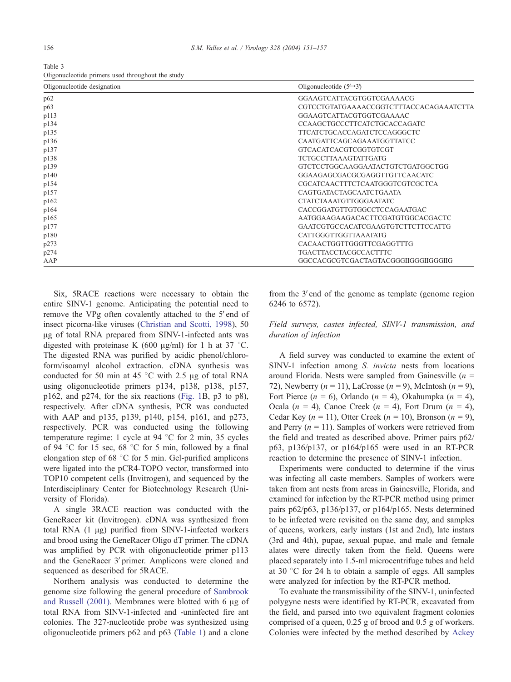<span id="page-5-0"></span>Table 3 Oligonucleotide primers used throughout the study

| Oligonucleotide designation<br>Oligonucleotide $(5\rightarrow 3)$ |                                         |
|-------------------------------------------------------------------|-----------------------------------------|
| p62                                                               | GGAAGTCATTACGTGGTCGAAAACG               |
| p63                                                               | CGTCCTGTATGAAAACCGGTCTTTACCACAGAAATCTTA |
| p113                                                              | GGAAGTCATTACGTGGTCGAAAAC                |
| p134                                                              | <b>CCAAGCTGCCCTTCATCTGCACCAGATC</b>     |
| p135                                                              | <b>TTCATCTGCACCAGATCTCCAGGGCTC</b>      |
| p136                                                              | CAATGATTCAGCAGAAATGGTTATCC              |
| p137                                                              | GTCACATCACGTCGGTGTCGT                   |
| p138                                                              | <b>TCTGCCTTAAAGTATTGATG</b>             |
| p139                                                              | GTCTCCTGGCAAGGAATACTGTCTGATGGCTGG       |
| p140                                                              | GGAAGAGCGACGCGAGGTTGTTCAACATC           |
| p154                                                              | CGCATCAACTTTCTCAATGGGTCGTCGCTCA         |
| p157                                                              | CAGTGATACTAGCA ATCTGA ATA               |
| p162                                                              | CTATCTA A ATGTTGGGA ATATC               |
| p164                                                              | CACCGGATGTTGTGGCCTCCAGAATGAC            |
| p165                                                              | AATGGAAGAAGACACTTCGATGTGGCACGACTC       |
| p177                                                              | GAATCGTGCCACATCGAAGTGTCTTCTTCCATTG      |
| p180                                                              | CATTGGGTTGGTTAAATATG                    |
| p273                                                              | CACAACTGGTTGGGTTCGAGGTTTG               |
| p274                                                              | TGACTTACCTACGCCACTTTC                   |
| AAP                                                               | GGCCACGCGTCGACTAGTACGGGIIGGGIIGGGIIG    |

Six, 5RACE reactions were necessary to obtain the entire SINV-1 genome. Anticipating the potential need to remove the VPg often covalently attached to the 5' end of insect picorna-like viruses ([Christian and Scotti, 1998\)](#page-6-0), 50 ug of total RNA prepared from SINV-1-infected ants was digested with proteinase K (600  $\mu$ g/ml) for 1 h at 37 °C. The digested RNA was purified by acidic phenol/chloroform/isoamyl alcohol extraction. cDNA synthesis was conducted for 50 min at 45  $\degree$ C with 2.5 µg of total RNA using oligonucleotide primers p134, p138, p138, p157, p162, and p274, for the six reactions ([Fig. 1B](#page-1-0), p3 to p8), respectively. After cDNA synthesis, PCR was conducted with AAP and p135, p139, p140, p154, p161, and p273, respectively. PCR was conducted using the following temperature regime: 1 cycle at 94  $\degree$ C for 2 min, 35 cycles of 94  $\degree$ C for 15 sec, 68  $\degree$ C for 5 min, followed by a final elongation step of 68  $\degree$ C for 5 min. Gel-purified amplicons were ligated into the pCR4-TOPO vector, transformed into TOP10 competent cells (Invitrogen), and sequenced by the Interdisciplinary Center for Biotechnology Research (University of Florida).

A single 3RACE reaction was conducted with the GeneRacer kit (Invitrogen). cDNA was synthesized from total RNA  $(1 \mu g)$  purified from SINV-1-infected workers and brood using the GeneRacer Oligo dT primer. The cDNA was amplified by PCR with oligonucleotide primer p113 and the GeneRacer 3' primer. Amplicons were cloned and sequenced as described for 5RACE.

Northern analysis was conducted to determine the genome size following the general procedure of [Sambrook](#page-6-0) and Russell  $(2001)$ . Membranes were blotted with 6  $\mu$ g of total RNA from SINV-1-infected and -uninfected fire ant colonies. The 327-nucleotide probe was synthesized using oligonucleotide primers p62 and p63 ([Table 1\)](#page-3-0) and a clone

from the 3' end of the genome as template (genome region 6246 to 6572).

# Field surveys, castes infected, SINV-1 transmission, and duration of infection

A field survey was conducted to examine the extent of SINV-1 infection among S. invicta nests from locations around Florida. Nests were sampled from Gainesville  $(n =$ 72), Newberry ( $n = 11$ ), LaCrosse ( $n = 9$ ), McIntosh ( $n = 9$ ), Fort Pierce ( $n = 6$ ), Orlando ( $n = 4$ ), Okahumpka ( $n = 4$ ), Ocala ( $n = 4$ ), Canoe Creek ( $n = 4$ ), Fort Drum ( $n = 4$ ), Cedar Key ( $n = 11$ ), Otter Creek ( $n = 10$ ), Bronson ( $n = 9$ ), and Perry ( $n = 11$ ). Samples of workers were retrieved from the field and treated as described above. Primer pairs p62/ p63, p136/p137, or p164/p165 were used in an RT-PCR reaction to determine the presence of SINV-1 infection.

Experiments were conducted to determine if the virus was infecting all caste members. Samples of workers were taken from ant nests from areas in Gainesville, Florida, and examined for infection by the RT-PCR method using primer pairs p62/p63, p136/p137, or p164/p165. Nests determined to be infected were revisited on the same day, and samples of queens, workers, early instars (1st and 2nd), late instars (3rd and 4th), pupae, sexual pupae, and male and female alates were directly taken from the field. Queens were placed separately into 1.5-ml microcentrifuge tubes and held at 30 $\degree$ C for 24 h to obtain a sample of eggs. All samples were analyzed for infection by the RT-PCR method.

To evaluate the transmissibility of the SINV-1, uninfected polygyne nests were identified by RT-PCR, excavated from the field, and parsed into two equivalent fragment colonies comprised of a queen, 0.25 g of brood and 0.5 g of workers. Colonies were infected by the method described by [Ackey](#page-6-0)